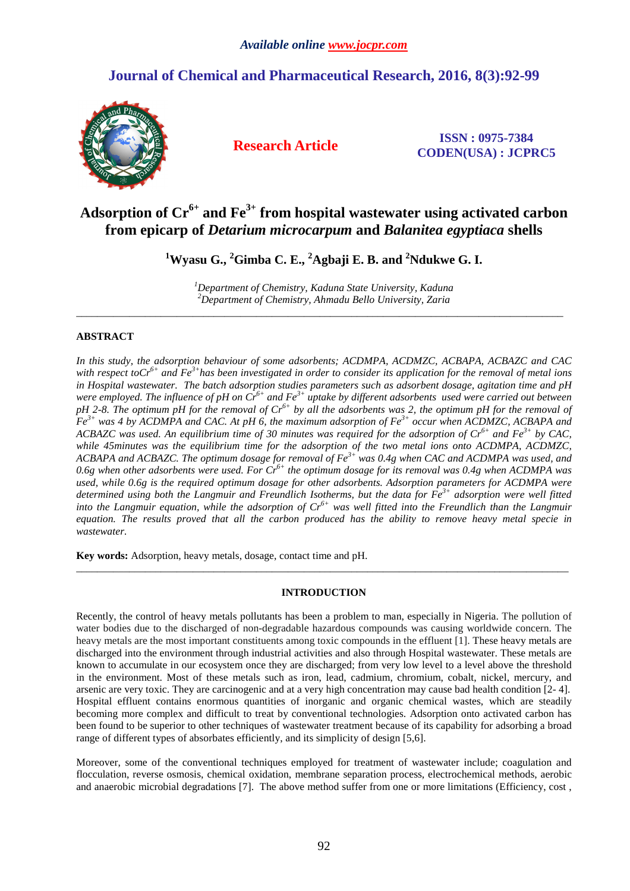# **Journal of Chemical and Pharmaceutical Research, 2016, 8(3):92-99**



**Research Article ISSN : 0975-7384 CODEN(USA) : JCPRC5**

# **Adsorption of Cr6+ and Fe3+ from hospital wastewater using activated carbon from epicarp of** *Detarium microcarpum* **and** *Balanitea egyptiaca* **shells**

**<sup>1</sup>Wyasu G., <sup>2</sup>Gimba C. E., <sup>2</sup>Agbaji E. B. and <sup>2</sup>Ndukwe G. I.** 

*<sup>1</sup>Department of Chemistry, Kaduna State University, Kaduna <sup>2</sup>Department of Chemistry, Ahmadu Bello University, Zaria*  \_\_\_\_\_\_\_\_\_\_\_\_\_\_\_\_\_\_\_\_\_\_\_\_\_\_\_\_\_\_\_\_\_\_\_\_\_\_\_\_\_\_\_\_\_\_\_\_\_\_\_\_\_\_\_\_\_\_\_\_\_\_\_\_\_\_\_\_\_\_\_\_\_\_\_\_\_\_\_\_\_\_\_\_\_\_\_\_\_\_\_\_

## **ABSTRACT**

*In this study, the adsorption behaviour of some adsorbents; ACDMPA, ACDMZC, ACBAPA, ACBAZC and CAC with respect toCr6+ and Fe3+has been investigated in order to consider its application for the removal of metal ions in Hospital wastewater. The batch adsorption studies parameters such as adsorbent dosage, agitation time and pH were employed. The influence of pH on Cr6+ and Fe3+ uptake by different adsorbents used were carried out between pH 2-8. The optimum pH for the removal of Cr6+ by all the adsorbents was 2, the optimum pH for the removal of Fe3+ was 4 by ACDMPA and CAC. At pH 6, the maximum adsorption of Fe3+ occur when ACDMZC, ACBAPA and ACBAZC was used. An equilibrium time of 30 minutes was required for the adsorption of Cr6+ and Fe3+ by CAC, while 45minutes was the equilibrium time for the adsorption of the two metal ions onto ACDMPA, ACDMZC, ACBAPA and ACBAZC. The optimum dosage for removal of Fe3+ was 0.4g when CAC and ACDMPA was used, and 0.6g when other adsorbents were used. For Cr6+ the optimum dosage for its removal was 0.4g when ACDMPA was used, while 0.6g is the required optimum dosage for other adsorbents. Adsorption parameters for ACDMPA were determined using both the Langmuir and Freundlich Isotherms, but the data for Fe3+ adsorption were well fitted into the Langmuir equation, while the adsorption of Cr6+ was well fitted into the Freundlich than the Langmuir equation. The results proved that all the carbon produced has the ability to remove heavy metal specie in wastewater.*

**Key words:** Adsorption, heavy metals, dosage, contact time and pH.

#### **INTRODUCTION**

\_\_\_\_\_\_\_\_\_\_\_\_\_\_\_\_\_\_\_\_\_\_\_\_\_\_\_\_\_\_\_\_\_\_\_\_\_\_\_\_\_\_\_\_\_\_\_\_\_\_\_\_\_\_\_\_\_\_\_\_\_\_\_\_\_\_\_\_\_\_\_\_\_\_\_\_\_\_\_\_\_\_\_\_\_\_\_\_\_\_\_\_\_

Recently, the control of heavy metals pollutants has been a problem to man, especially in Nigeria. The pollution of water bodies due to the discharged of non-degradable hazardous compounds was causing worldwide concern. The heavy metals are the most important constituents among toxic compounds in the effluent [1]. These heavy metals are discharged into the environment through industrial activities and also through Hospital wastewater. These metals are known to accumulate in our ecosystem once they are discharged; from very low level to a level above the threshold in the environment. Most of these metals such as iron, lead, cadmium, chromium, cobalt, nickel, mercury, and arsenic are very toxic. They are carcinogenic and at a very high concentration may cause bad health condition [2- 4]. Hospital effluent contains enormous quantities of inorganic and organic chemical wastes, which are steadily becoming more complex and difficult to treat by conventional technologies. Adsorption onto activated carbon has been found to be superior to other techniques of wastewater treatment because of its capability for adsorbing a broad range of different types of absorbates efficiently, and its simplicity of design [5,6].

Moreover, some of the conventional techniques employed for treatment of wastewater include; coagulation and flocculation, reverse osmosis, chemical oxidation, membrane separation process, electrochemical methods, aerobic and anaerobic microbial degradations [7]. The above method suffer from one or more limitations (Efficiency, cost ,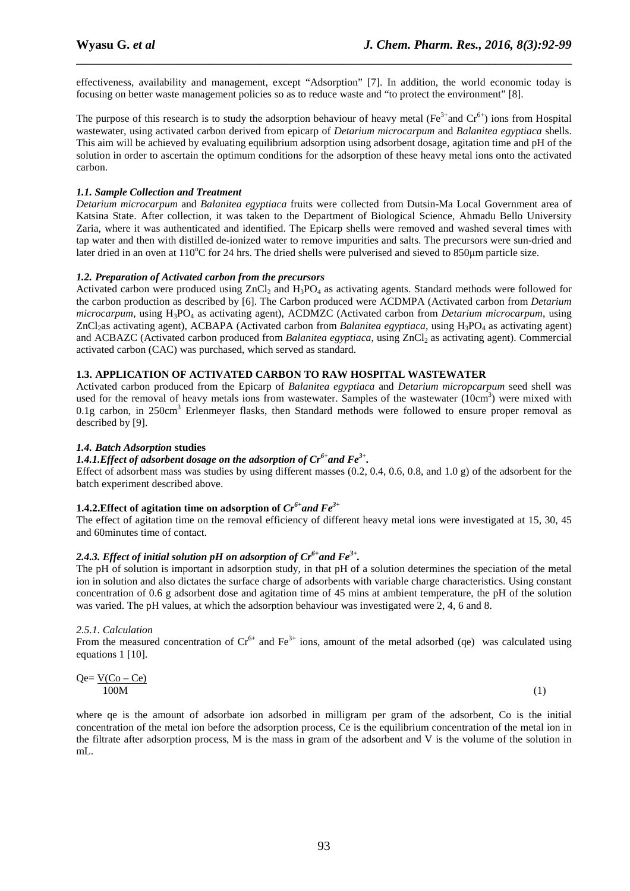effectiveness, availability and management, except "Adsorption" [7]. In addition, the world economic today is focusing on better waste management policies so as to reduce waste and "to protect the environment" [8].

\_\_\_\_\_\_\_\_\_\_\_\_\_\_\_\_\_\_\_\_\_\_\_\_\_\_\_\_\_\_\_\_\_\_\_\_\_\_\_\_\_\_\_\_\_\_\_\_\_\_\_\_\_\_\_\_\_\_\_\_\_\_\_\_\_\_\_\_\_\_\_\_\_\_\_\_\_\_

The purpose of this research is to study the adsorption behaviour of heavy metal (Fe<sup>3+</sup>and Cr<sup>6+</sup>) ions from Hospital wastewater, using activated carbon derived from epicarp of *Detarium microcarpum* and *Balanitea egyptiaca* shells. This aim will be achieved by evaluating equilibrium adsorption using adsorbent dosage, agitation time and pH of the solution in order to ascertain the optimum conditions for the adsorption of these heavy metal ions onto the activated carbon.

### *1.1. Sample Collection and Treatment*

*Detarium microcarpum* and *Balanitea egyptiaca* fruits were collected from Dutsin-Ma Local Government area of Katsina State. After collection, it was taken to the Department of Biological Science, Ahmadu Bello University Zaria, where it was authenticated and identified. The Epicarp shells were removed and washed several times with tap water and then with distilled de-ionized water to remove impurities and salts. The precursors were sun-dried and later dried in an oven at  $110^{\circ}$ C for 24 hrs. The dried shells were pulverised and sieved to 850 $\mu$ m particle size.

## *1.2. Preparation of Activated carbon from the precursors*

Activated carbon were produced using  $ZnCl_2$  and  $H_3PO_4$  as activating agents. Standard methods were followed for the carbon production as described by [6]. The Carbon produced were ACDMPA (Activated carbon from *Detarium microcarpum*, using H3PO4 as activating agent), ACDMZC (Activated carbon from *Detarium microcarpum*, using ZnCl<sub>2</sub>as activating agent), ACBAPA (Activated carbon from *Balanitea egyptiaca*, using H<sub>3</sub>PO<sub>4</sub> as activating agent) and ACBAZC (Activated carbon produced from *Balanitea egyptiaca*, using ZnCl<sub>2</sub> as activating agent). Commercial activated carbon (CAC) was purchased, which served as standard.

## **1.3. APPLICATION OF ACTIVATED CARBON TO RAW HOSPITAL WASTEWATER**

Activated carbon produced from the Epicarp of *Balanitea egyptiaca* and *Detarium micropcarpum* seed shell was used for the removal of heavy metals ions from wastewater. Samples of the wastewater (10cm<sup>3</sup>) were mixed with 0.1g carbon, in 250cm<sup>3</sup> Erlenmeyer flasks, then Standard methods were followed to ensure proper removal as described by [9].

### *1.4. Batch Adsorption* **studies**

# *1.4.1.Effect of adsorbent dosage on the adsorption of Cr6+and Fe3+ .*

Effect of adsorbent mass was studies by using different masses  $(0.2, 0.4, 0.6, 0.8, \text{ and } 1.0 \text{ g})$  of the adsorbent for the batch experiment described above.

### **1.4.2.Effect of agitation time on adsorption of**  $Cr^{6+}$  **and**  $Fe^{3+}$

The effect of agitation time on the removal efficiency of different heavy metal ions were investigated at 15, 30, 45 and 60minutes time of contact.

## *2.4.3. Effect of initial solution pH on adsorption of Cr6+and Fe3+ .*

The pH of solution is important in adsorption study, in that pH of a solution determines the speciation of the metal ion in solution and also dictates the surface charge of adsorbents with variable charge characteristics. Using constant concentration of 0.6 g adsorbent dose and agitation time of 45 mins at ambient temperature, the pH of the solution was varied. The pH values, at which the adsorption behaviour was investigated were 2, 4, 6 and 8.

#### *2.5.1. Calculation*

From the measured concentration of  $Cr^{6+}$  and  $Fe^{3+}$  ions, amount of the metal adsorbed (qe) was calculated using equations 1 [10].

$$
Qe = \frac{V(Co - Ce)}{100M}
$$
 (1)

where qe is the amount of adsorbate ion adsorbed in milligram per gram of the adsorbent, Co is the initial concentration of the metal ion before the adsorption process, Ce is the equilibrium concentration of the metal ion in the filtrate after adsorption process, M is the mass in gram of the adsorbent and V is the volume of the solution in mL.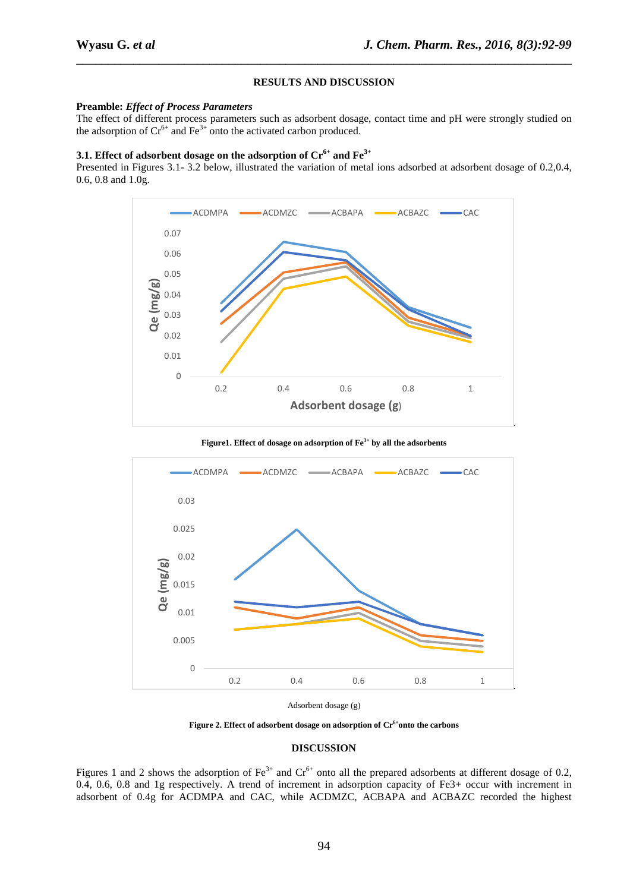#### **RESULTS AND DISCUSSION**

\_\_\_\_\_\_\_\_\_\_\_\_\_\_\_\_\_\_\_\_\_\_\_\_\_\_\_\_\_\_\_\_\_\_\_\_\_\_\_\_\_\_\_\_\_\_\_\_\_\_\_\_\_\_\_\_\_\_\_\_\_\_\_\_\_\_\_\_\_\_\_\_\_\_\_\_\_\_

#### **Preamble:** *Effect of Process Parameters*

The effect of different process parameters such as adsorbent dosage, contact time and pH were strongly studied on the adsorption of  $Cr^{6+}$  and  $Fe^{3+}$  onto the activated carbon produced.

# **3.1. Effect of adsorbent dosage on the adsorption of Cr6+ and Fe3+**

Presented in Figures 3.1- 3.2 below, illustrated the variation of metal ions adsorbed at adsorbent dosage of 0.2,0.4, 0.6, 0.8 and 1.0g.



**Figure1. Effect of dosage on adsorption of Fe3+ by all the adsorbents** 



Adsorbent dosage (g)

**Figure 2. Effect of adsorbent dosage on adsorption of Cr6+onto the carbons** 

#### **DISCUSSION**

Figures 1 and 2 shows the adsorption of  $Fe^{3+}$  and  $Cr^{6+}$  onto all the prepared adsorbents at different dosage of 0.2, 0.4, 0.6, 0.8 and 1g respectively. A trend of increment in adsorption capacity of Fe3+ occur with increment in adsorbent of 0.4g for ACDMPA and CAC, while ACDMZC, ACBAPA and ACBAZC recorded the highest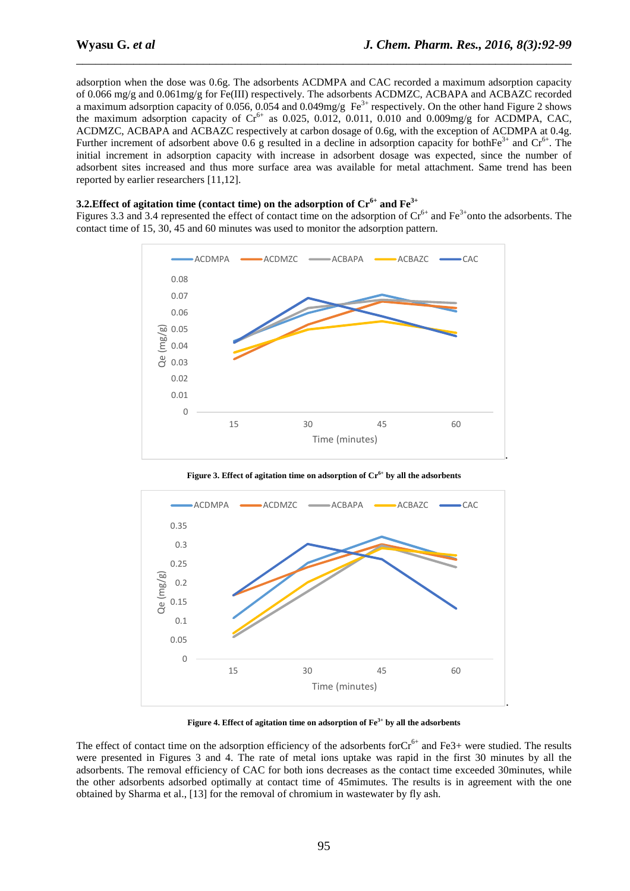adsorption when the dose was 0.6g. The adsorbents ACDMPA and CAC recorded a maximum adsorption capacity of 0.066 mg/g and 0.061mg/g for Fe(III) respectively. The adsorbents ACDMZC, ACBAPA and ACBAZC recorded a maximum adsorption capacity of 0.056, 0.054 and 0.049mg/g  $Fe^{3+}$  respectively. On the other hand Figure 2 shows the maximum adsorption capacity of  $Cr^{6+}$  as 0.025, 0.012, 0.011, 0.010 and 0.009mg/g for ACDMPA, CAC, ACDMZC, ACBAPA and ACBAZC respectively at carbon dosage of 0.6g, with the exception of ACDMPA at 0.4g. Further increment of adsorbent above 0.6 g resulted in a decline in adsorption capacity for both $Fe^{3+}$  and  $Cr^{6+}$ . The initial increment in adsorption capacity with increase in adsorbent dosage was expected, since the number of adsorbent sites increased and thus more surface area was available for metal attachment. Same trend has been reported by earlier researchers [11,12].

\_\_\_\_\_\_\_\_\_\_\_\_\_\_\_\_\_\_\_\_\_\_\_\_\_\_\_\_\_\_\_\_\_\_\_\_\_\_\_\_\_\_\_\_\_\_\_\_\_\_\_\_\_\_\_\_\_\_\_\_\_\_\_\_\_\_\_\_\_\_\_\_\_\_\_\_\_\_

#### **3.2.Effect of agitation time (contact time) on the adsorption of Cr6+ and Fe3+**

Figures 3.3 and 3.4 represented the effect of contact time on the adsorption of  $Cr<sup>6+</sup>$  and  $Fe<sup>3+</sup>$ onto the adsorbents. The contact time of 15, 30, 45 and 60 minutes was used to monitor the adsorption pattern.



**Figure 3. Effect of agitation time on adsorption of Cr6+ by all the adsorbents** 



**Figure 4. Effect of agitation time on adsorption of Fe3+ by all the adsorbents** 

The effect of contact time on the adsorption efficiency of the adsorbents for $Cr^{6+}$  and Fe3+ were studied. The results were presented in Figures 3 and 4. The rate of metal ions uptake was rapid in the first 30 minutes by all the adsorbents. The removal efficiency of CAC for both ions decreases as the contact time exceeded 30minutes, while the other adsorbents adsorbed optimally at contact time of 45mimutes. The results is in agreement with the one obtained by Sharma et al., [13] for the removal of chromium in wastewater by fly ash.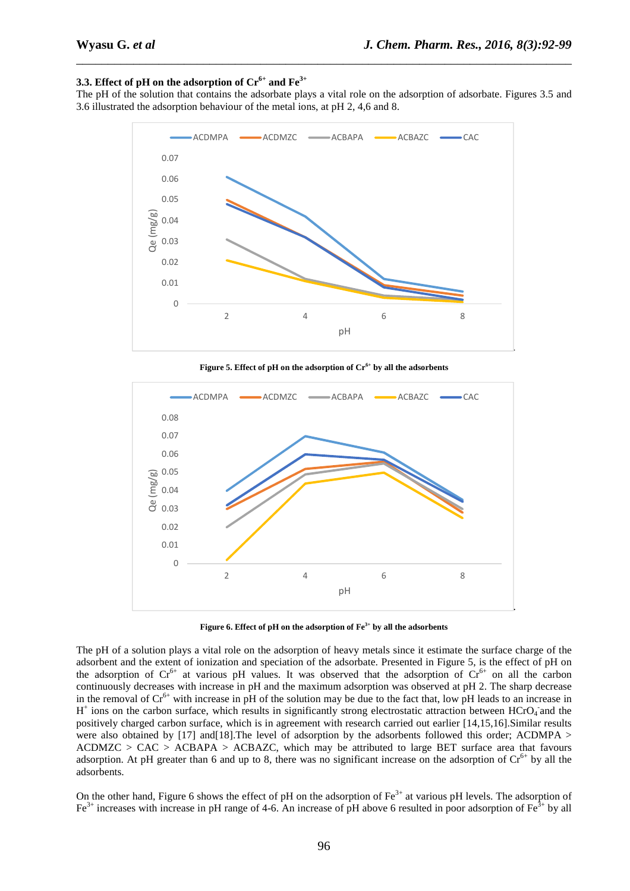# **3.3. Effect of pH on the adsorption of Cr6+ and Fe3+**

The pH of the solution that contains the adsorbate plays a vital role on the adsorption of adsorbate. Figures 3.5 and 3.6 illustrated the adsorption behaviour of the metal ions, at pH 2, 4,6 and 8.

\_\_\_\_\_\_\_\_\_\_\_\_\_\_\_\_\_\_\_\_\_\_\_\_\_\_\_\_\_\_\_\_\_\_\_\_\_\_\_\_\_\_\_\_\_\_\_\_\_\_\_\_\_\_\_\_\_\_\_\_\_\_\_\_\_\_\_\_\_\_\_\_\_\_\_\_\_\_



**Figure 5. Effect of pH on the adsorption of Cr6+ by all the adsorbents** 



**Figure 6. Effect of pH on the adsorption of Fe3+ by all the adsorbents** 

The pH of a solution plays a vital role on the adsorption of heavy metals since it estimate the surface charge of the adsorbent and the extent of ionization and speciation of the adsorbate. Presented in Figure 5, is the effect of pH on the adsorption of  $Cr^{6+}$  at various pH values. It was observed that the adsorption of  $Cr^{6+}$  on all the carbon continuously decreases with increase in pH and the maximum adsorption was observed at pH 2. The sharp decrease in the removal of  $Cr^{6+}$  with increase in pH of the solution may be due to the fact that, low pH leads to an increase in H<sup>+</sup> ions on the carbon surface, which results in significantly strong electrostatic attraction between HCrO<sub>4</sub> and the positively charged carbon surface, which is in agreement with research carried out earlier [14,15,16].Similar results were also obtained by [17] and [18]. The level of adsorption by the adsorbents followed this order; ACDMPA >  $ACDMZC > CAC > ACBAPA > ACBAZC$ , which may be attributed to large BET surface area that favours adsorption. At pH greater than 6 and up to 8, there was no significant increase on the adsorption of  $Cr^{6+}$  by all the adsorbents.

On the other hand, Figure 6 shows the effect of pH on the adsorption of  $Fe<sup>3+</sup>$  at various pH levels. The adsorption of  $Fe<sup>3+</sup>$  increases with increase in pH range of 4-6. An increase of pH above 6 resulted in poor adsorption of  $Fe<sup>3+</sup>$  by all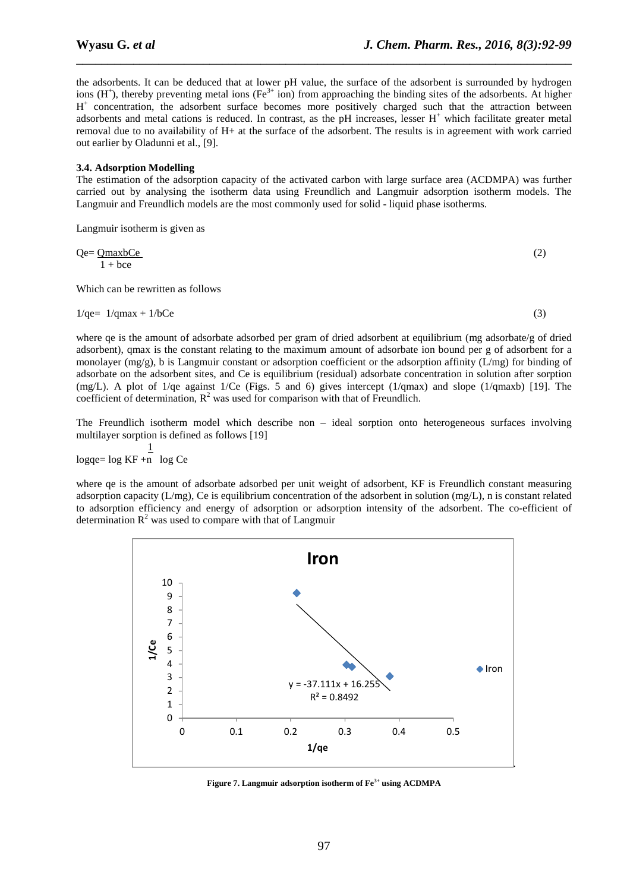the adsorbents. It can be deduced that at lower pH value, the surface of the adsorbent is surrounded by hydrogen ions  $(H^+)$ , thereby preventing metal ions (Fe<sup>3+</sup> ion) from approaching the binding sites of the adsorbents. At higher H<sup>+</sup> concentration, the adsorbent surface becomes more positively charged such that the attraction between adsorbents and metal cations is reduced. In contrast, as the  $pH$  increases, lesser  $H^+$  which facilitate greater metal removal due to no availability of H+ at the surface of the adsorbent. The results is in agreement with work carried out earlier by Oladunni et al., [9].

\_\_\_\_\_\_\_\_\_\_\_\_\_\_\_\_\_\_\_\_\_\_\_\_\_\_\_\_\_\_\_\_\_\_\_\_\_\_\_\_\_\_\_\_\_\_\_\_\_\_\_\_\_\_\_\_\_\_\_\_\_\_\_\_\_\_\_\_\_\_\_\_\_\_\_\_\_\_

#### **3.4. Adsorption Modelling**

The estimation of the adsorption capacity of the activated carbon with large surface area (ACDMPA) was further carried out by analysing the isotherm data using Freundlich and Langmuir adsorption isotherm models. The Langmuir and Freundlich models are the most commonly used for solid - liquid phase isotherms.

Langmuir isotherm is given as

$$
Qe = \frac{QmaxbCe}{1 + bce}
$$
 (2)

Which can be rewritten as follows

$$
1/\text{qe} = 1/\text{qmax} + 1/\text{bCe}
$$
\n<sup>(3)</sup>

where qe is the amount of adsorbate adsorbed per gram of dried adsorbent at equilibrium (mg adsorbate/g of dried adsorbent), qmax is the constant relating to the maximum amount of adsorbate ion bound per g of adsorbent for a monolayer (mg/g), b is Langmuir constant or adsorption coefficient or the adsorption affinity ( $L/mg$ ) for binding of adsorbate on the adsorbent sites, and Ce is equilibrium (residual) adsorbate concentration in solution after sorption (mg/L). A plot of 1/qe against 1/Ce (Figs. 5 and 6) gives intercept (1/qmax) and slope (1/qmaxb) [19]. The coefficient of determination,  $R^2$  was used for comparison with that of Freundlich.

The Freundlich isotherm model which describe non – ideal sorption onto heterogeneous surfaces involving multilayer sorption is defined as follows [19]

 $\frac{1}{1}$  $log qe = log KF + n log Ce$ 

where qe is the amount of adsorbate adsorbed per unit weight of adsorbent, KF is Freundlich constant measuring adsorption capacity (L/mg), Ce is equilibrium concentration of the adsorbent in solution (mg/L), n is constant related to adsorption efficiency and energy of adsorption or adsorption intensity of the adsorbent. The co-efficient of determination  $R^2$  was used to compare with that of Langmuir



**Figure 7. Langmuir adsorption isotherm of Fe3+ using ACDMPA**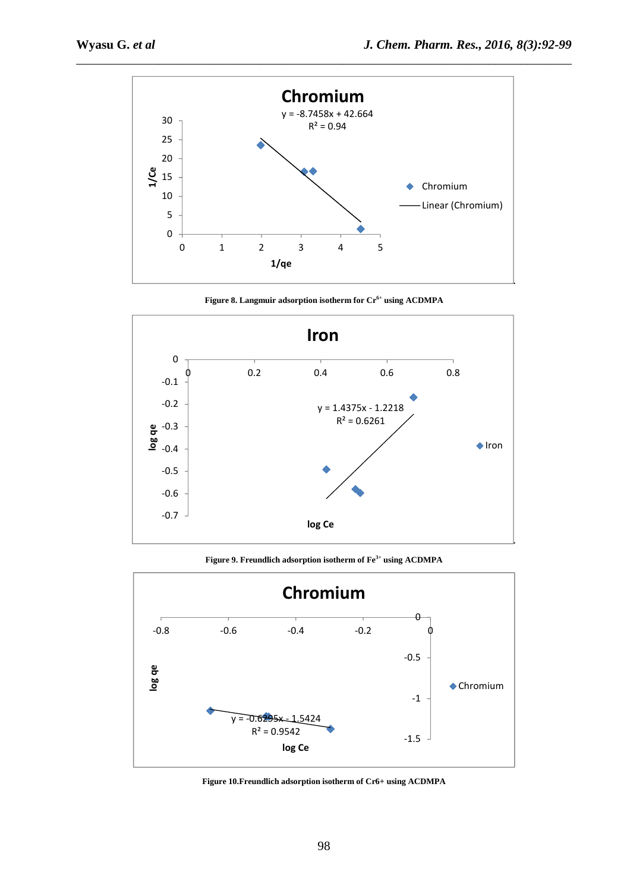

**Figure 8. Langmuir adsorption isotherm for Cr6+ using ACDMPA** 



**Figure 9. Freundlich adsorption isotherm of Fe3+ using ACDMPA**